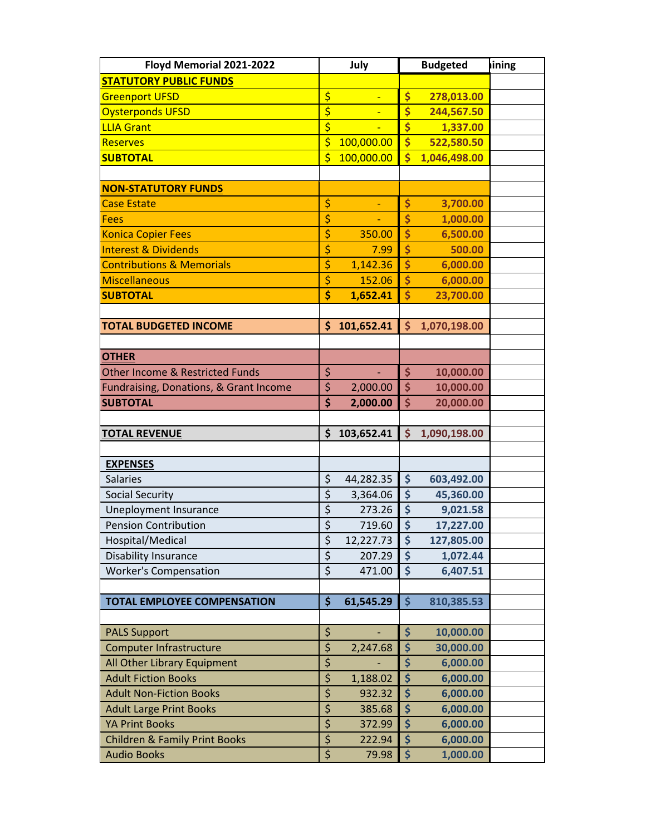| Floyd Memorial 2021-2022                   |                                     | July       |                                 | <b>Budgeted</b> | lining |
|--------------------------------------------|-------------------------------------|------------|---------------------------------|-----------------|--------|
| <b>STATUTORY PUBLIC FUNDS</b>              |                                     |            |                                 |                 |        |
| <b>Greenport UFSD</b>                      | \$                                  |            | \$                              | 278,013.00      |        |
| <b>Oysterponds UFSD</b>                    | \$                                  |            | \$                              | 244,567.50      |        |
| <b>LLIA Grant</b>                          | $\overline{\boldsymbol{\varsigma}}$ |            | \$                              | 1,337.00        |        |
| <b>Reserves</b>                            | \$                                  | 100,000.00 | $\boldsymbol{\zeta}$            | 522,580.50      |        |
| <b>SUBTOTAL</b>                            | $\overline{\mathsf{S}}$             | 100,000.00 | $\overline{\mathsf{s}}$         | 1,046,498.00    |        |
|                                            |                                     |            |                                 |                 |        |
| <b>NON-STATUTORY FUNDS</b>                 |                                     |            |                                 |                 |        |
| <b>Case Estate</b>                         | \$                                  |            | \$                              | 3,700.00        |        |
| <b>Fees</b>                                | \$                                  |            | \$                              | 1,000.00        |        |
| <b>Konica Copier Fees</b>                  | \$                                  | 350.00     | \$                              | 6,500.00        |        |
| <b>Interest &amp; Dividends</b>            | \$                                  | 7.99       | \$                              | 500.00          |        |
| <b>Contributions &amp; Memorials</b>       | \$                                  | 1,142.36   | \$                              | 6,000.00        |        |
| Miscellaneous                              | \$                                  | 152.06     | $\overline{\boldsymbol{\zeta}}$ | 6,000.00        |        |
| <b>SUBTOTAL</b>                            | \$                                  | 1,652.41   | \$                              | 23,700.00       |        |
|                                            |                                     |            |                                 |                 |        |
| <b>TOTAL BUDGETED INCOME</b>               | \$                                  | 101,652.41 | \$                              | 1,070,198.00    |        |
|                                            |                                     |            |                                 |                 |        |
| <b>OTHER</b>                               |                                     |            |                                 |                 |        |
| <b>Other Income &amp; Restricted Funds</b> | \$                                  | ÷.         | \$                              | 10,000.00       |        |
| Fundraising, Donations, & Grant Income     | \$                                  | 2,000.00   | \$                              | 10,000.00       |        |
| <b>SUBTOTAL</b>                            | \$                                  | 2,000.00   | \$                              | 20,000.00       |        |
|                                            |                                     |            |                                 |                 |        |
| <b>TOTAL REVENUE</b>                       | \$                                  | 103,652.41 | \$                              | 1,090,198.00    |        |
|                                            |                                     |            |                                 |                 |        |
| <b>EXPENSES</b>                            |                                     |            |                                 |                 |        |
| <b>Salaries</b>                            | \$                                  | 44,282.35  | \$                              | 603,492.00      |        |
| <b>Social Security</b>                     | $\overline{\xi}$                    | 3,364.06   | \$                              | 45,360.00       |        |
| Uneployment Insurance                      | \$                                  | 273.26     | \$                              | 9,021.58        |        |
| <b>Pension Contribution</b>                | $\overline{\xi}$                    | 719.60     | \$                              | 17,227.00       |        |
| Hospital/Medical                           | \$                                  | 12,227.73  | \$                              | 127,805.00      |        |
| <b>Disability Insurance</b>                | $\overline{\xi}$                    | 207.29     | \$                              | 1,072.44        |        |
| <b>Worker's Compensation</b>               | $\overline{\xi}$                    | 471.00     | \$                              | 6,407.51        |        |
|                                            |                                     |            |                                 |                 |        |
| <b>TOTAL EMPLOYEE COMPENSATION</b>         | $\frac{1}{2}$                       | 61,545.29  | $\dot{\mathsf{S}}$              | 810,385.53      |        |
|                                            |                                     |            |                                 |                 |        |
| <b>PALS Support</b>                        | \$                                  |            | \$                              | 10,000.00       |        |
| <b>Computer Infrastructure</b>             | \$                                  | 2,247.68   | \$                              | 30,000.00       |        |
| All Other Library Equipment                | \$                                  |            | \$                              | 6,000.00        |        |
| <b>Adult Fiction Books</b>                 | $\overline{\xi}$                    | 1,188.02   | $\overline{\boldsymbol{\zeta}}$ | 6,000.00        |        |
| <b>Adult Non-Fiction Books</b>             | \$                                  | 932.32     | \$                              | 6,000.00        |        |
| <b>Adult Large Print Books</b>             | $\overline{\boldsymbol{\zeta}}$     | 385.68     | \$                              | 6,000.00        |        |
| <b>YA Print Books</b>                      | \$<br>$\overline{\xi}$              | 372.99     | \$                              | 6,000.00        |        |
| <b>Children &amp; Family Print Books</b>   |                                     | 222.94     | \$                              | 6,000.00        |        |
| <b>Audio Books</b>                         | \$                                  | 79.98      | \$                              | 1,000.00        |        |